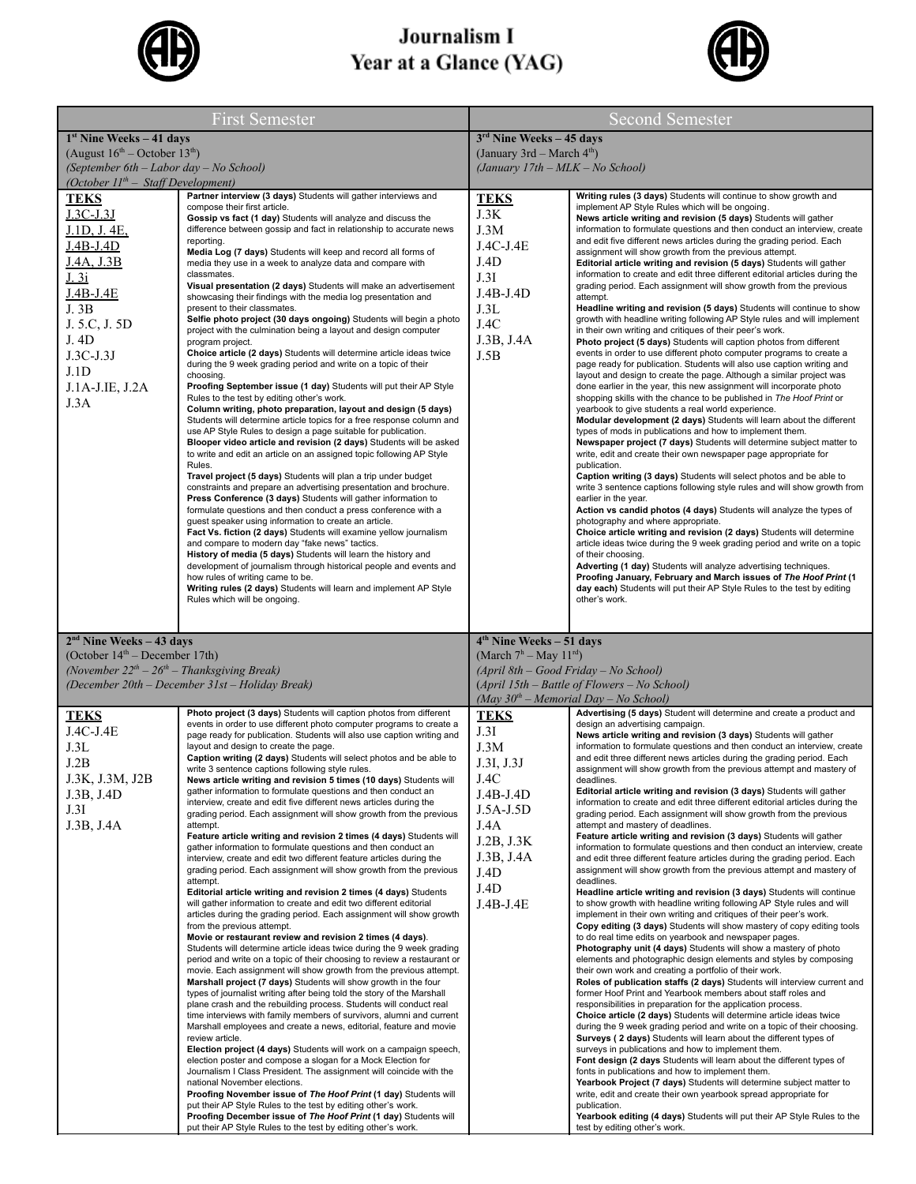

## Journalism I Year at a Glance (YAG)



| <b>First Semester</b>                                                                                                                                                                                                                |                                                                                                                                                                                                                                                                                                                                                                                                                                                                                                                                                                                                                                                                                                                                                                                                                                                                                                                                                                                                                                                                                                                                                                                                                                                                                                                                                                                                                                                                                                                                                                                                                                                                                                                                                                                                                                                                                                                                                                                                                                                                                                              | <b>Second Semester</b>                                                                                                                                                                                           |                                                                                                                                                                                                                                                                                                                                                                                                                                                                                                                                                                                                                                                                                                                                                                                                                                                                                                                                                                                                                                                                                                                                                                                                                                                                                                                                                                                                                                                                                                                                                                                                                                                                                                                                                                                                                                                                                                                                                                                                                                                                                                                                                                                                                                                                                         |
|--------------------------------------------------------------------------------------------------------------------------------------------------------------------------------------------------------------------------------------|--------------------------------------------------------------------------------------------------------------------------------------------------------------------------------------------------------------------------------------------------------------------------------------------------------------------------------------------------------------------------------------------------------------------------------------------------------------------------------------------------------------------------------------------------------------------------------------------------------------------------------------------------------------------------------------------------------------------------------------------------------------------------------------------------------------------------------------------------------------------------------------------------------------------------------------------------------------------------------------------------------------------------------------------------------------------------------------------------------------------------------------------------------------------------------------------------------------------------------------------------------------------------------------------------------------------------------------------------------------------------------------------------------------------------------------------------------------------------------------------------------------------------------------------------------------------------------------------------------------------------------------------------------------------------------------------------------------------------------------------------------------------------------------------------------------------------------------------------------------------------------------------------------------------------------------------------------------------------------------------------------------------------------------------------------------------------------------------------------------|------------------------------------------------------------------------------------------------------------------------------------------------------------------------------------------------------------------|-----------------------------------------------------------------------------------------------------------------------------------------------------------------------------------------------------------------------------------------------------------------------------------------------------------------------------------------------------------------------------------------------------------------------------------------------------------------------------------------------------------------------------------------------------------------------------------------------------------------------------------------------------------------------------------------------------------------------------------------------------------------------------------------------------------------------------------------------------------------------------------------------------------------------------------------------------------------------------------------------------------------------------------------------------------------------------------------------------------------------------------------------------------------------------------------------------------------------------------------------------------------------------------------------------------------------------------------------------------------------------------------------------------------------------------------------------------------------------------------------------------------------------------------------------------------------------------------------------------------------------------------------------------------------------------------------------------------------------------------------------------------------------------------------------------------------------------------------------------------------------------------------------------------------------------------------------------------------------------------------------------------------------------------------------------------------------------------------------------------------------------------------------------------------------------------------------------------------------------------------------------------------------------------|
| $1st$ Nine Weeks – 41 days                                                                                                                                                                                                           |                                                                                                                                                                                                                                                                                                                                                                                                                                                                                                                                                                                                                                                                                                                                                                                                                                                                                                                                                                                                                                                                                                                                                                                                                                                                                                                                                                                                                                                                                                                                                                                                                                                                                                                                                                                                                                                                                                                                                                                                                                                                                                              | $3rd$ Nine Weeks - 45 days                                                                                                                                                                                       |                                                                                                                                                                                                                                                                                                                                                                                                                                                                                                                                                                                                                                                                                                                                                                                                                                                                                                                                                                                                                                                                                                                                                                                                                                                                                                                                                                                                                                                                                                                                                                                                                                                                                                                                                                                                                                                                                                                                                                                                                                                                                                                                                                                                                                                                                         |
| (August $16^{th}$ – October $13^{th}$ )                                                                                                                                                                                              |                                                                                                                                                                                                                                                                                                                                                                                                                                                                                                                                                                                                                                                                                                                                                                                                                                                                                                                                                                                                                                                                                                                                                                                                                                                                                                                                                                                                                                                                                                                                                                                                                                                                                                                                                                                                                                                                                                                                                                                                                                                                                                              | (January 3rd – March $4th$ )                                                                                                                                                                                     |                                                                                                                                                                                                                                                                                                                                                                                                                                                                                                                                                                                                                                                                                                                                                                                                                                                                                                                                                                                                                                                                                                                                                                                                                                                                                                                                                                                                                                                                                                                                                                                                                                                                                                                                                                                                                                                                                                                                                                                                                                                                                                                                                                                                                                                                                         |
| (September 6th - Labor day - No School)                                                                                                                                                                                              |                                                                                                                                                                                                                                                                                                                                                                                                                                                                                                                                                                                                                                                                                                                                                                                                                                                                                                                                                                                                                                                                                                                                                                                                                                                                                                                                                                                                                                                                                                                                                                                                                                                                                                                                                                                                                                                                                                                                                                                                                                                                                                              | (January 17th - MLK - No School)                                                                                                                                                                                 |                                                                                                                                                                                                                                                                                                                                                                                                                                                                                                                                                                                                                                                                                                                                                                                                                                                                                                                                                                                                                                                                                                                                                                                                                                                                                                                                                                                                                                                                                                                                                                                                                                                                                                                                                                                                                                                                                                                                                                                                                                                                                                                                                                                                                                                                                         |
| (October $11^{th}$ – Staff Development)                                                                                                                                                                                              | Partner interview (3 days) Students will gather interviews and                                                                                                                                                                                                                                                                                                                                                                                                                                                                                                                                                                                                                                                                                                                                                                                                                                                                                                                                                                                                                                                                                                                                                                                                                                                                                                                                                                                                                                                                                                                                                                                                                                                                                                                                                                                                                                                                                                                                                                                                                                               |                                                                                                                                                                                                                  | Writing rules (3 days) Students will continue to show growth and                                                                                                                                                                                                                                                                                                                                                                                                                                                                                                                                                                                                                                                                                                                                                                                                                                                                                                                                                                                                                                                                                                                                                                                                                                                                                                                                                                                                                                                                                                                                                                                                                                                                                                                                                                                                                                                                                                                                                                                                                                                                                                                                                                                                                        |
| <b>TEKS</b><br>$J.3C-J.3J$<br>J.1D, J.4E,<br>$J.4B-J.4D$<br>J.4A, J.3B<br>J. 3i<br>J.4B-J.4E<br>J. 3B<br>J. 5.C, J. 5D<br>J. 4D<br>$J.3C-J.3J$<br>J.1D<br>J.1A-J.IE, J.2A<br>J.3A                                                    | compose their first article.<br>Gossip vs fact (1 day) Students will analyze and discuss the<br>difference between gossip and fact in relationship to accurate news<br>reporting.<br>Media Log (7 days) Students will keep and record all forms of<br>media they use in a week to analyze data and compare with<br>classmates.<br>Visual presentation (2 days) Students will make an advertisement<br>showcasing their findings with the media log presentation and<br>present to their classmates.<br>Selfie photo project (30 days ongoing) Students will begin a photo<br>project with the culmination being a layout and design computer<br>program project.<br>Choice article (2 days) Students will determine article ideas twice<br>during the 9 week grading period and write on a topic of their<br>choosing.<br>Proofing September issue (1 day) Students will put their AP Style<br>Rules to the test by editing other's work.<br>Column writing, photo preparation, layout and design (5 days)<br>Students will determine article topics for a free response column and<br>use AP Style Rules to design a page suitable for publication.<br>Blooper video article and revision (2 days) Students will be asked<br>to write and edit an article on an assigned topic following AP Style<br>Rules.<br>Travel project (5 days) Students will plan a trip under budget<br>constraints and prepare an advertising presentation and brochure.<br>Press Conference (3 days) Students will gather information to<br>formulate questions and then conduct a press conference with a<br>guest speaker using information to create an article.<br>Fact Vs. fiction (2 days) Students will examine yellow journalism<br>and compare to modern day "fake news" tactics.<br>History of media (5 days) Students will learn the history and<br>development of journalism through historical people and events and<br>how rules of writing came to be.<br>Writing rules (2 days) Students will learn and implement AP Style                                                                                       | <b>TEKS</b><br>J.3K<br>J.3M<br>$J.4C-J.4E$<br>J.4D<br>J.3I<br>J.4B-J.4D<br>J.3L<br>J.4C<br>J.3B, J.4A<br>J.5B                                                                                                    | implement AP Style Rules which will be ongoing.<br>News article writing and revision (5 days) Students will gather<br>information to formulate questions and then conduct an interview, create<br>and edit five different news articles during the grading period. Each<br>assignment will show growth from the previous attempt.<br>Editorial article writing and revision (5 days) Students will gather<br>information to create and edit three different editorial articles during the<br>grading period. Each assignment will show growth from the previous<br>attempt.<br>Headline writing and revision (5 days) Students will continue to show<br>growth with headline writing following AP Style rules and will implement<br>in their own writing and critiques of their peer's work.<br>Photo project (5 days) Students will caption photos from different<br>events in order to use different photo computer programs to create a<br>page ready for publication. Students will also use caption writing and<br>layout and design to create the page. Although a similar project was<br>done earlier in the year, this new assignment will incorporate photo<br>shopping skills with the chance to be published in The Hoof Print or<br>yearbook to give students a real world experience.<br>Modular development (2 days) Students will learn about the different<br>types of mods in publications and how to implement them.<br>Newspaper project (7 days) Students will determine subject matter to<br>write, edit and create their own newspaper page appropriate for<br>publication.<br>Caption writing (3 days) Students will select photos and be able to<br>write 3 sentence captions following style rules and will show growth from<br>earlier in the year.<br>Action vs candid photos (4 days) Students will analyze the types of<br>photography and where appropriate.<br>Choice article writing and revision (2 days) Students will determine<br>article ideas twice during the 9 week grading period and write on a topic<br>of their choosing.<br>Adverting (1 day) Students will analyze advertising techniques.<br>Proofing January, February and March issues of The Hoof Print (1<br>day each) Students will put their AP Style Rules to the test by editing |
| $2nd$ Nine Weeks – 43 days<br>(October 14 <sup>th</sup> – December 17th)<br>(November $22^{th} - 26^{th} -$ Thanksgiving Break)<br><b>TEKS</b><br>$J.4C-J.4E$<br>J.3L<br>J.2B<br>J.3K, J.3M, J2B<br>J.3B, J.4D<br>J.3I<br>J.3B, J.4A | (December 20th – December 31st – Holiday Break)<br>Photo project (3 days) Students will caption photos from different<br>events in order to use different photo computer programs to create a<br>page ready for publication. Students will also use caption writing and<br>layout and design to create the page.<br>Caption writing (2 days) Students will select photos and be able to<br>write 3 sentence captions following style rules.<br>News article writing and revision 5 times (10 days) Students will<br>gather information to formulate questions and then conduct an<br>interview, create and edit five different news articles during the<br>grading period. Each assignment will show growth from the previous<br>attempt.<br>Feature article writing and revision 2 times (4 days) Students will<br>gather information to formulate questions and then conduct an<br>interview, create and edit two different feature articles during the<br>grading period. Each assignment will show growth from the previous<br>attempt.<br>Editorial article writing and revision 2 times (4 days) Students<br>will gather information to create and edit two different editorial<br>articles during the grading period. Each assignment will show growth<br>from the previous attempt.<br>Movie or restaurant review and revision 2 times (4 days).<br>Students will determine article ideas twice during the 9 week grading<br>period and write on a topic of their choosing to review a restaurant or<br>movie. Each assignment will show growth from the previous attempt.<br>Marshall project (7 days) Students will show growth in the four<br>types of journalist writing after being told the story of the Marshall<br>plane crash and the rebuilding process. Students will conduct real<br>time interviews with family members of survivors, alumni and current<br>Marshall employees and create a news, editorial, feature and movie<br>review article.<br>Election project (4 days) Students will work on a campaign speech,<br>election poster and compose a slogan for a Mock Election for | $4th$ Nine Weeks – 51 days<br>(March $7^h$ – May $11^{rd}$ )<br><b>TEKS</b><br>J.3I<br>J.3M<br>J.3I, J.3J<br>J.4C<br>$J.4B-J.4D$<br>$J.5A-J.5D$<br>J.4A<br>J.2B, J.3K<br>J.3B, J.4A<br>J.4D<br>J.4D<br>J.4B-J.4E | (April 8th – Good Friday – No School)<br>(April 15th – Battle of Flowers – No School)<br>(May $30^{th}$ – Memorial Day – No School)<br>Advertising (5 days) Student will determine and create a product and<br>design an advertising campaign.<br>News article writing and revision (3 days) Students will gather<br>information to formulate questions and then conduct an interview, create<br>and edit three different news articles during the grading period. Each<br>assignment will show growth from the previous attempt and mastery of<br>deadlines.<br>Editorial article writing and revision (3 days) Students will gather<br>information to create and edit three different editorial articles during the<br>grading period. Each assignment will show growth from the previous<br>attempt and mastery of deadlines.<br>Feature article writing and revision (3 days) Students will gather<br>information to formulate questions and then conduct an interview, create<br>and edit three different feature articles during the grading period. Each<br>assignment will show growth from the previous attempt and mastery of<br>deadlines.<br>Headline article writing and revision (3 days) Students will continue<br>to show growth with headline writing following AP Style rules and will<br>implement in their own writing and critiques of their peer's work.<br>Copy editing (3 days) Students will show mastery of copy editing tools<br>to do real time edits on yearbook and newspaper pages.<br>Photography unit (4 days) Students will show a mastery of photo<br>elements and photographic design elements and styles by composing<br>their own work and creating a portfolio of their work.<br>Roles of publication staffs (2 days) Students will interview current and<br>former Hoof Print and Yearbook members about staff roles and<br>responsibilities in preparation for the application process.<br>Choice article (2 days) Students will determine article ideas twice<br>during the 9 week grading period and write on a topic of their choosing.<br>Surveys (2 days) Students will learn about the different types of<br>surveys in publications and how to implement them.<br>Font design (2 days Students will learn about the different types of  |
|                                                                                                                                                                                                                                      | Journalism I Class President. The assignment will coincide with the<br>national November elections.<br>Proofing November issue of The Hoof Print (1 day) Students will<br>put their AP Style Rules to the test by editing other's work.<br>Proofing December issue of The Hoof Print (1 day) Students will<br>put their AP Style Rules to the test by editing other's work.                                                                                                                                                                                                                                                                                                                                                                                                                                                                                                                                                                                                                                                                                                                                                                                                                                                                                                                                                                                                                                                                                                                                                                                                                                                                                                                                                                                                                                                                                                                                                                                                                                                                                                                                  |                                                                                                                                                                                                                  | fonts in publications and how to implement them.<br>Yearbook Project (7 days) Students will determine subject matter to<br>write, edit and create their own yearbook spread appropriate for<br>publication.<br>Yearbook editing (4 days) Students will put their AP Style Rules to the<br>test by editing other's work.                                                                                                                                                                                                                                                                                                                                                                                                                                                                                                                                                                                                                                                                                                                                                                                                                                                                                                                                                                                                                                                                                                                                                                                                                                                                                                                                                                                                                                                                                                                                                                                                                                                                                                                                                                                                                                                                                                                                                                 |